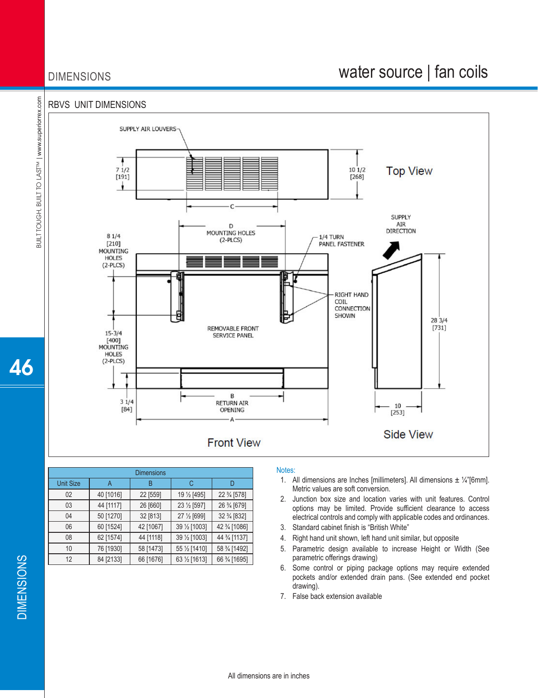## DIMENSIONS

## water source | fan coils

#### RBVS UNIT DIMENSIONS



| <b>Dimensions</b> |           |           |               |               |  |  |  |  |  |  |
|-------------------|-----------|-----------|---------------|---------------|--|--|--|--|--|--|
| <b>Unit Size</b>  | Α         | B         | C             |               |  |  |  |  |  |  |
| 02                | 40 [1016] | 22 [559]  | 19 1/2 [495]  | 22 3/4 [578]  |  |  |  |  |  |  |
| 03                | 44 [1117] | 26 [660]  | 23 1/2 [597]  | 26 3/4 [679]  |  |  |  |  |  |  |
| 04                | 50 [1270] | 32 [813]  | 27 1/2 [699]  | 32 3/4 [832]  |  |  |  |  |  |  |
| 06                | 60 [1524] | 42 [1067] | 39 1/2 [1003] | 42 3/4 [1086] |  |  |  |  |  |  |
| 08                | 62 [1574] | 44 [1118] | 39 1/2 [1003] | 44 3/4 [1137] |  |  |  |  |  |  |
| 10                | 76 [1930] | 58 [1473] | 55 1/2 [1410] | 58 3/4 [1492] |  |  |  |  |  |  |
| 12                | 84 [2133] | 66 [1676] | 63 1/2 [1613] | 66 3⁄4 [1695] |  |  |  |  |  |  |

#### Notes:

- 1. All dimensions are Inches [millimeters]. All dimensions  $\pm$  1/4"[6mm]. Metric values are soft conversion.
- 2. Junction box size and location varies with unit features. Control options may be limited. Provide sufficient clearance to access electrical controls and comply with applicable codes and ordinances.
- 3. Standard cabinet finish is "British White"
- 4. Right hand unit shown, left hand unit similar, but opposite
- 5. Parametric design available to increase Height or Width (See parametric offerings drawing)
- 6. Some control or piping package options may require extended pockets and/or extended drain pans. (See extended end pocket drawing).
- 7. False back extension available

L

46